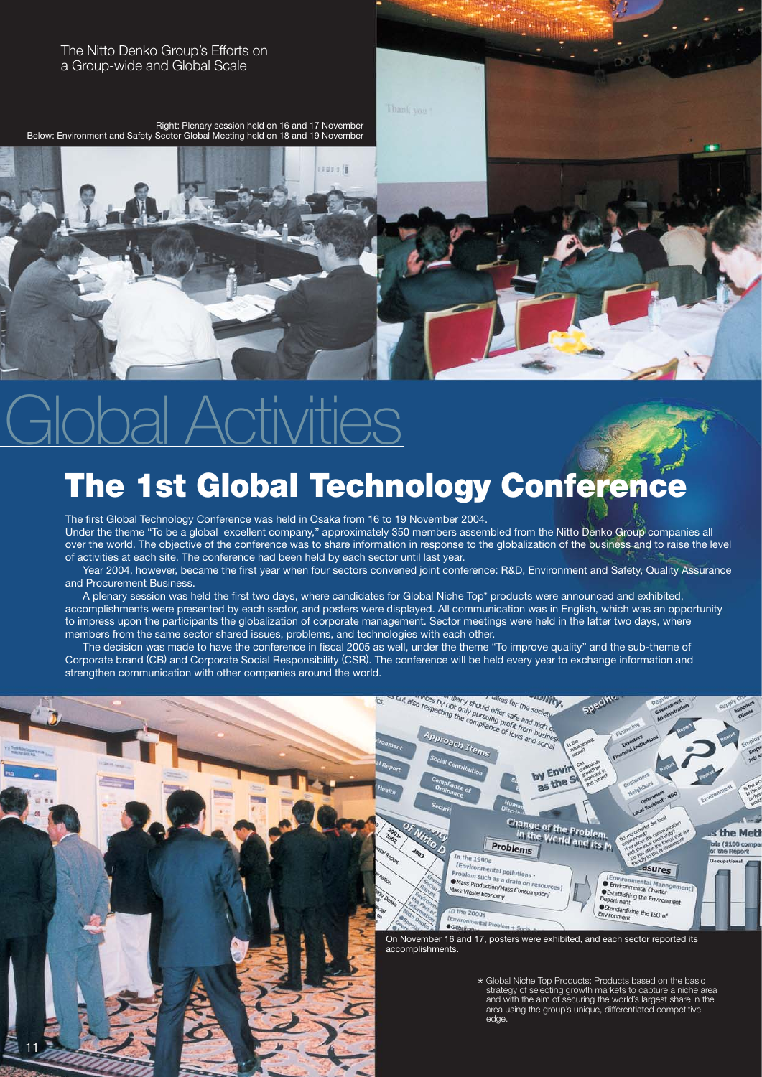The Nitto Denko Group's Efforts on a Group-wide and Global Scale

Right: Plenary session held on 16 and 17 November Below: Environment and Safety Sector Global Meeting held on 18 and 19 November

# Global Activities

# **The 1st Global Technology Conference**

sasa lit

The first Global Technology Conference was held in Osaka from 16 to 19 November 2004. Under the theme "To be a global excellent company," approximately 350 members assembled from the Nitto Denko Group companies all over the world. The objective of the conference was to share information in response to the globalization of the business and to raise the level of activities at each site. The conference had been held by each sector until last year.

 Year 2004, however, became the first year when four sectors convened joint conference: R&D, Environment and Safety, Quality Assurance and Procurement Business.

 A plenary session was held the first two days, where candidates for Global Niche Top\* products were announced and exhibited, accomplishments were presented by each sector, and posters were displayed. All communication was in English, which was an opportunity to impress upon the participants the globalization of corporate management. Sector meetings were held in the latter two days, where members from the same sector shared issues, problems, and technologies with each other.

 The decision was made to have the conference in fiscal 2005 as well, under the theme "To improve quality" and the sub-theme of Corporate brand (CB) and Corporate Social Responsibility (CSR). The conference will be held every year to exchange information and strengthen communication with other companies around the world.